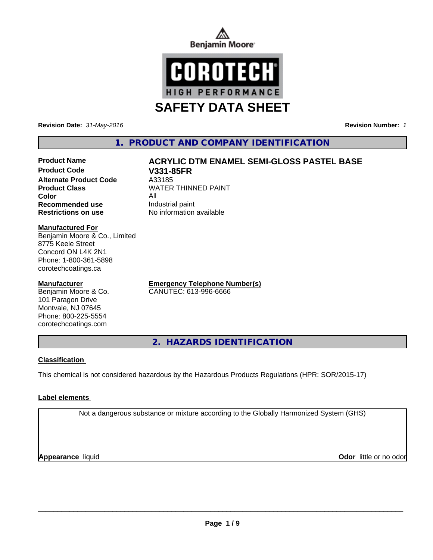



**Revision Date:** *31-May-2016* **Revision Number:** *1*

# **1. PRODUCT AND COMPANY IDENTIFICATION**

# **Product Name**  $ACRYLIC$  **DTM ENAMEL SEMI-GLOSS PASTEL BASE**

**Product Code V331-85FR Alternate Product Code** A33185<br> **Product Class** MVATER **Color** All **Recommended use** Industrial paint **Restrictions on use** No information available

**WATER THINNED PAINT** 

#### **Manufactured For**

Benjamin Moore & Co., Limited 8775 Keele Street Concord ON L4K 2N1 Phone: 1-800-361-5898 corotechcoatings.ca

#### **Manufacturer**

Benjamin Moore & Co. 101 Paragon Drive Montvale, NJ 07645 Phone: 800-225-5554 corotechcoatings.com

**Emergency Telephone Number(s)** CANUTEC: 613-996-6666

**2. HAZARDS IDENTIFICATION**

## **Classification**

This chemical is not considered hazardous by the Hazardous Products Regulations (HPR: SOR/2015-17)

#### **Label elements**

Not a dangerous substance or mixture according to the Globally Harmonized System (GHS)

**Appearance** liquid

**Odor** little or no odor

 $\overline{\phantom{a}}$  ,  $\overline{\phantom{a}}$  ,  $\overline{\phantom{a}}$  ,  $\overline{\phantom{a}}$  ,  $\overline{\phantom{a}}$  ,  $\overline{\phantom{a}}$  ,  $\overline{\phantom{a}}$  ,  $\overline{\phantom{a}}$  ,  $\overline{\phantom{a}}$  ,  $\overline{\phantom{a}}$  ,  $\overline{\phantom{a}}$  ,  $\overline{\phantom{a}}$  ,  $\overline{\phantom{a}}$  ,  $\overline{\phantom{a}}$  ,  $\overline{\phantom{a}}$  ,  $\overline{\phantom{a}}$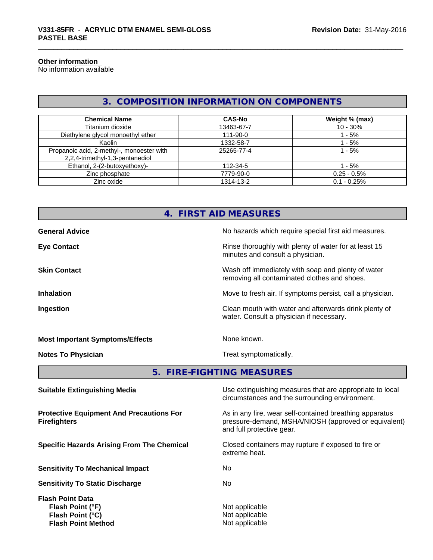#### **Other information**

No information available

# **3. COMPOSITION INFORMATION ON COMPONENTS**

| <b>Chemical Name</b>                                                         | <b>CAS-No</b> | Weight % (max) |
|------------------------------------------------------------------------------|---------------|----------------|
| Titanium dioxide                                                             | 13463-67-7    | $10 - 30%$     |
| Diethylene glycol monoethyl ether                                            | 111-90-0      | - 5%           |
| Kaolin                                                                       | 1332-58-7     | $-5%$          |
| Propanoic acid, 2-methyl-, monoester with<br>2,2,4-trimethyl-1,3-pentanediol | 25265-77-4    | 1 - 5%         |
| Ethanol, 2-(2-butoxyethoxy)-                                                 | 112-34-5      | 1 - 5%         |
| Zinc phosphate                                                               | 7779-90-0     | $0.25 - 0.5%$  |
| Zinc oxide                                                                   | 1314-13-2     | $0.1 - 0.25%$  |

|                                        | 4. FIRST AID MEASURES                                                                              |
|----------------------------------------|----------------------------------------------------------------------------------------------------|
| <b>General Advice</b>                  | No hazards which require special first aid measures.                                               |
| <b>Eye Contact</b>                     | Rinse thoroughly with plenty of water for at least 15<br>minutes and consult a physician.          |
| <b>Skin Contact</b>                    | Wash off immediately with soap and plenty of water<br>removing all contaminated clothes and shoes. |
| <b>Inhalation</b>                      | Move to fresh air. If symptoms persist, call a physician.                                          |
| Ingestion                              | Clean mouth with water and afterwards drink plenty of<br>water. Consult a physician if necessary.  |
| <b>Most Important Symptoms/Effects</b> | None known.                                                                                        |
| <b>Notes To Physician</b>              | Treat symptomatically.                                                                             |
|                                        | 5. FIRE-FIGHTING MEASURES                                                                          |
| <b>Cuitable Extinguiching Media</b>    | Leo oxtinguiching moneures that are appropriate to local                                           |

**Protective Equipment And Precautions For Firefighters**

**Sensitivity To Mechanical Impact** No

**Sensitivity To Static Discharge** No

**Flash Point Data Flash Point (°F)** Not applicable **Flash Point (°C)** Not applicable **Flash Point Method** Not applicable

**Suitable Extinguishing Media** Media Use extinguishing measures that are appropriate to local circumstances and the surrounding environment.

> As in any fire, wear self-contained breathing apparatus pressure-demand, MSHA/NIOSH (approved or equivalent) and full protective gear.

**Specific Hazards Arising From The Chemical Closed containers may rupture if exposed to fire or** extreme heat.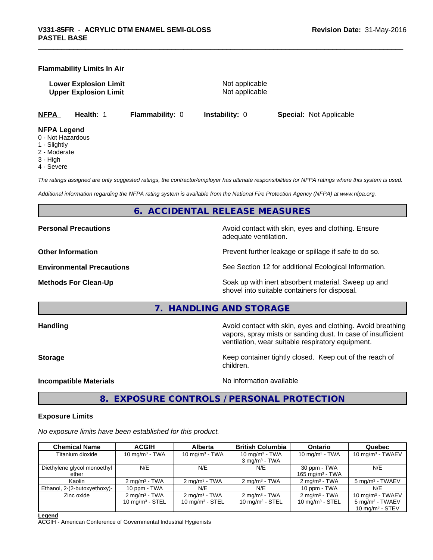#### **Flammability Limits In Air**

**Lower Explosion Limit** Not applicable **Upper Explosion Limit** Not applicable

**NFPA Health:** 1 **Flammability:** 0 **Instability:** 0 **Special:** Not Applicable

#### **NFPA Legend**

- 0 Not Hazardous
- 1 Slightly
- 2 Moderate
- 3 High
- 4 Severe

*The ratings assigned are only suggested ratings, the contractor/employer has ultimate responsibilities for NFPA ratings where this system is used.*

*Additional information regarding the NFPA rating system is available from the National Fire Protection Agency (NFPA) at www.nfpa.org.*

#### **6. ACCIDENTAL RELEASE MEASURES**

**Personal Precautions Precautions Personal Precautions Avoid contact with skin, eyes and clothing. Ensure** 

adequate ventilation.

**Other Information Department Information Department Intervent further leakage or spillage if safe to do so.** 

**Environmental Precautions** See Section 12 for additional Ecological Information.

**Methods For Clean-Up Example 20 All 20 All 20 All 20 All 20 All 20 Soak up with inert absorbent material. Sweep up and** shovel into suitable containers for disposal.

**7. HANDLING AND STORAGE**

**Handling Handling Avoid contact with skin, eyes and clothing. Avoid breathing Handling Avoid breathing Avoid breathing** vapors, spray mists or sanding dust. In case of insufficient ventilation, wear suitable respiratory equipment.

**Storage Keep container tightly closed. Keep out of the reach of Keep** container tightly closed. Keep out of the reach of children.

**Incompatible Materials** Noinformation available

**8. EXPOSURE CONTROLS / PERSONAL PROTECTION**

#### **Exposure Limits**

*No exposure limits have been established for this product.*

| <b>Chemical Name</b>         | <b>ACGIH</b>             | <b>Alberta</b>           | <b>British Columbia</b>     | <b>Ontario</b>              | Quebec                      |
|------------------------------|--------------------------|--------------------------|-----------------------------|-----------------------------|-----------------------------|
| Titanium dioxide             | 10 mg/m $3$ - TWA        | 10 mg/m $3$ - TWA        | 10 mg/m $3$ - TWA           | 10 mg/m $3$ - TWA           | 10 mg/m $3$ - TWAEV         |
|                              |                          |                          | $3 \text{ mg/m}^3$ - TWA    |                             |                             |
| Diethylene glycol monoethyl  | N/E                      | N/E                      | N/E                         | 30 ppm - TWA                | N/E                         |
| ether                        |                          |                          |                             | 165 mg/m <sup>3</sup> - TWA |                             |
| Kaolin                       | $2 \text{ mg/m}^3$ - TWA | $2 \text{ mg/m}^3$ - TWA | $2 \text{ mg/m}^3$ - TWA    | $2 \text{mq/m}^3$ - TWA     | 5 mg/m <sup>3</sup> - TWAEV |
| Ethanol, 2-(2-butoxyethoxy)- | 10 ppm - TWA             | N/E                      | N/E                         | 10 ppm - TWA                | N/E                         |
| Zinc oxide                   | $2 \text{ mg/m}^3$ - TWA | $2 \text{mq/m}^3$ - TWA  | $2 \text{ mg/m}^3$ - TWA    | $2 \text{mq/m}^3$ - TWA     | 10 mg/m $3$ - TWAEV         |
|                              | 10 $mq/m^3$ - STEL       | 10 mg/m $3 -$ STEL       | 10 mg/m <sup>3</sup> - STEL | 10 mg/m $3 -$ STEL          | $5 \text{ mg/m}^3$ - TWAEV  |
|                              |                          |                          |                             |                             | 10 $mq/m^3$ - STEV          |

**Legend**

ACGIH - American Conference of Governmental Industrial Hygienists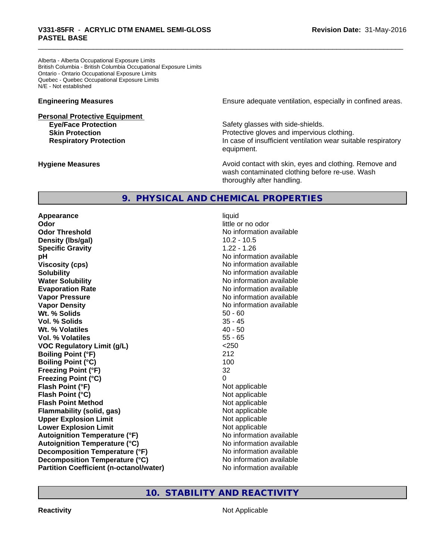Alberta - Alberta Occupational Exposure Limits British Columbia - British Columbia Occupational Exposure Limits Ontario - Ontario Occupational Exposure Limits Quebec - Quebec Occupational Exposure Limits N/E - Not established

# **Personal Protective Equipment**

**Engineering Measures Ensure** Ensure adequate ventilation, especially in confined areas.

**Eye/Face Protection Safety glasses with side-shields. Skin Protection Protection Protective gloves and impervious clothing. Respiratory Protection In case of insufficient ventilation wear suitable respiratory** equipment.

**Hygiene Measures Avoid contact with skin, eyes and clothing. Remove and Avoid contact with skin, eyes and clothing. Remove and Avoid contact with skin, eyes and clothing. Remove and** wash contaminated clothing before re-use. Wash thoroughly after handling.

# **9. PHYSICAL AND CHEMICAL PROPERTIES**

**Appearance** liquid **Odor** little or no odor **Odor Threshold** No information available **Density (Ibs/gal)** 10.2 - 10.5 **Specific Gravity** 1.22 - 1.26 **pH pH**  $\blacksquare$ **Viscosity (cps)** No information available **Solubility Note 2008 Note 2008 Note 2008 Note 2008 Note 2008 Note 2008 Note 2008 Note 2008 Note 2008 Note 2008 Note 2008 Note 2008 Note 2008 Note 2008 Note 2008 Note 2008 Note 2008 Note Water Solubility Water Solubility No information available Evaporation Rate No information available No information available Vapor Pressure** No information available in the North American Monte available in the North American available **Vapor Density No information available No information available Wt. % Solids** 50 - 60 **Vol. % Solids** 35 - 45 **Wt. % Volatiles** 40 - 50 **Vol. % Volatiles** 55 - 65 **VOC Regulatory Limit (g/L)** <250 **Boiling Point (°F)** 212 **Boiling Point (°C)** 100 **Freezing Point (°F)** 32 **Freezing Point (°C)** 0 **Flash Point (°F)** Not applicable **Flash Point (°C)** Not applicable **Flash Point Method** Not applicable **Flammability (solid, gas)** Not applicable **Upper Explosion Limit** Not applicable **Lower Explosion Limit Contract Accord Accord Accord Accord Accord Accord Accord Accord Accord Accord Accord Accord Accord Accord Accord Accord Accord Accord Accord Accord Accord Accord Accord Accord Accord Accord Accord Autoignition Temperature (°F)**<br> **Autoignition Temperature (°C)** No information available **Autoignition Temperature (°C) Decomposition Temperature (°F)** No information available **Decomposition Temperature (°C)** No information available **Partition Coefficient (n-octanol/water) No information available** 

# **10. STABILITY AND REACTIVITY**

**Reactivity** Not Applicable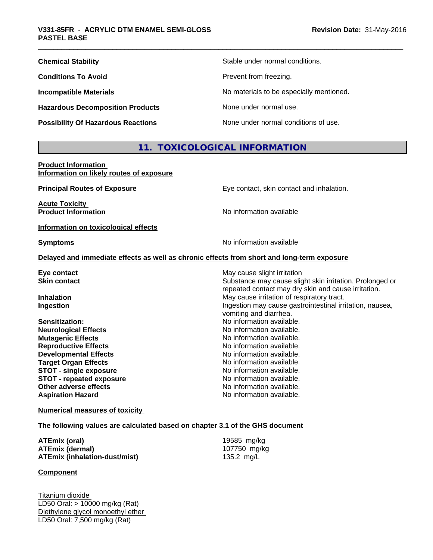| <b>Chemical Stability</b>                 | Stable under normal conditions.          |
|-------------------------------------------|------------------------------------------|
| <b>Conditions To Avoid</b>                | Prevent from freezing.                   |
| <b>Incompatible Materials</b>             | No materials to be especially mentioned. |
| <b>Hazardous Decomposition Products</b>   | None under normal use.                   |
| <b>Possibility Of Hazardous Reactions</b> | None under normal conditions of use.     |

# **11. TOXICOLOGICAL INFORMATION**

**Product Information Information on likely routes of exposure**

| <b>Principal Routes of Exposure</b>                 | Eye contact, skin contact and inhalation.                                                                       |
|-----------------------------------------------------|-----------------------------------------------------------------------------------------------------------------|
| <b>Acute Toxicity</b><br><b>Product Information</b> | No information available                                                                                        |
| Information on toxicological effects                |                                                                                                                 |
| <b>Symptoms</b>                                     | No information available                                                                                        |
|                                                     | Delayed and immediate effects as well as chronic effects from short and long-term exposure                      |
| Eye contact                                         | May cause slight irritation                                                                                     |
| <b>Skin contact</b>                                 | Substance may cause slight skin irritation. Prolonged or<br>repeated contact may dry skin and cause irritation. |
| <b>Inhalation</b>                                   | May cause irritation of respiratory tract.                                                                      |
| <b>Ingestion</b>                                    | Ingestion may cause gastrointestinal irritation, nausea,<br>vomiting and diarrhea.                              |
| Sensitization:                                      | No information available.                                                                                       |
| <b>Neurological Effects</b>                         | No information available.                                                                                       |
| <b>Mutagenic Effects</b>                            | No information available.                                                                                       |
| <b>Reproductive Effects</b>                         | No information available.                                                                                       |
| <b>Developmental Effects</b>                        | No information available.                                                                                       |
| <b>Target Organ Effects</b>                         | No information available.                                                                                       |
| <b>STOT - single exposure</b>                       | No information available.                                                                                       |
| <b>STOT - repeated exposure</b>                     | No information available.                                                                                       |
| Other adverse effects                               | No information available.                                                                                       |
| <b>Aspiration Hazard</b>                            | No information available.                                                                                       |
|                                                     |                                                                                                                 |

**Numerical measures of toxicity**

**The following values are calculated based on chapter 3.1 of the GHS document**

| ATEmix (oral)                 | 19585 mg/kg  |
|-------------------------------|--------------|
| ATEmix (dermal)               | 107750 mg/kg |
| ATEmix (inhalation-dust/mist) | 135.2 mg/L   |

#### **Component**

Titanium dioxide LD50 Oral: > 10000 mg/kg (Rat) Diethylene glycol monoethyl ether LD50 Oral: 7,500 mg/kg (Rat)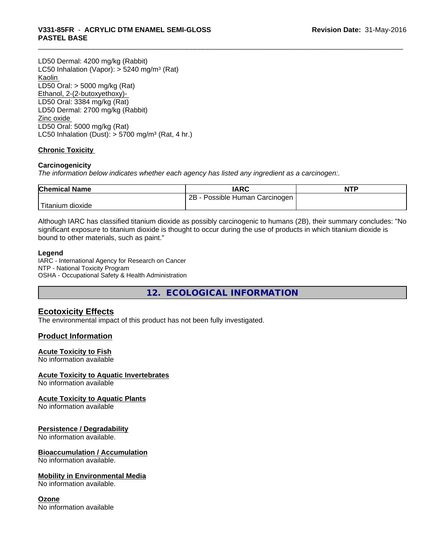LD50 Dermal: 4200 mg/kg (Rabbit) LC50 Inhalation (Vapor): > 5240 mg/m<sup>3</sup> (Rat) Kaolin LD50 Oral: > 5000 mg/kg (Rat) Ethanol, 2-(2-butoxyethoxy)- LD50 Oral: 3384 mg/kg (Rat) LD50 Dermal: 2700 mg/kg (Rabbit) Zinc oxide LD50 Oral: 5000 mg/kg (Rat) LC50 Inhalation (Dust):  $> 5700$  mg/m<sup>3</sup> (Rat, 4 hr.)

## **Chronic Toxicity**

#### **Carcinogenicity**

*The information below indicateswhether each agency has listed any ingredient as a carcinogen:.*

| <b>Chemical Name</b> | <b>IARC</b>                     | <b>NTP</b> |
|----------------------|---------------------------------|------------|
|                      | 2B<br>Possible Human Carcinogen |            |
| 'Titanium dioxide    |                                 |            |

Although IARC has classified titanium dioxide as possibly carcinogenic to humans (2B), their summary concludes: "No significant exposure to titanium dioxide is thought to occur during the use of products in which titanium dioxide is bound to other materials, such as paint."

#### **Legend**

IARC - International Agency for Research on Cancer NTP - National Toxicity Program OSHA - Occupational Safety & Health Administration

**12. ECOLOGICAL INFORMATION**

# **Ecotoxicity Effects**

The environmental impact of this product has not been fully investigated.

## **Product Information**

#### **Acute Toxicity to Fish**

No information available

#### **Acute Toxicity to Aquatic Invertebrates**

No information available

#### **Acute Toxicity to Aquatic Plants**

No information available

#### **Persistence / Degradability**

No information available.

#### **Bioaccumulation / Accumulation**

No information available.

#### **Mobility in Environmental Media**

No information available.

#### **Ozone**

No information available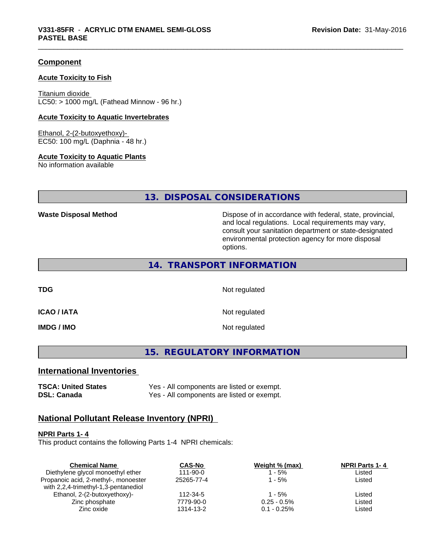#### **Component**

#### **Acute Toxicity to Fish**

Titanium dioxide  $LC50:$  > 1000 mg/L (Fathead Minnow - 96 hr.)

#### **Acute Toxicity to Aquatic Invertebrates**

Ethanol, 2-(2-butoxyethoxy)- EC50: 100 mg/L (Daphnia - 48 hr.)

#### **Acute Toxicity to Aquatic Plants**

No information available

**13. DISPOSAL CONSIDERATIONS**

**Waste Disposal Method Dispose of in accordance with federal, state, provincial,** and local regulations. Local requirements may vary, consult your sanitation department or state-designated environmental protection agency for more disposal options.

## **14. TRANSPORT INFORMATION**

**TDG** Not regulated

**ICAO / IATA** Not regulated

**IMDG / IMO** Not regulated

**15. REGULATORY INFORMATION**

# **International Inventories**

**TSCA: United States** Yes - All components are listed or exempt. **DSL: Canada** Yes - All components are listed or exempt.

#### **National Pollutant Release Inventory (NPRI)**

#### **NPRI Parts 1- 4**

This product contains the following Parts 1-4 NPRI chemicals:

| <b>Chemical Name</b>                 | <b>CAS-No</b>  | Weight % (max) | <b>NPRI Parts 1-4</b> |  |
|--------------------------------------|----------------|----------------|-----------------------|--|
| Diethylene glycol monoethyl ether    | $111 - 90 - 0$ | - 5%           | Listed                |  |
| Propanoic acid, 2-methyl-, monoester | 25265-77-4     | l - 5%         | Listed                |  |
| with 2,2,4-trimethyl-1,3-pentanediol |                |                |                       |  |
| Ethanol, 2-(2-butoxyethoxy)-         | 112-34-5       | 1 - 5%         | Listed                |  |
| Zinc phosphate                       | 7779-90-0      | $0.25 - 0.5\%$ | Listed                |  |
| Zinc oxide                           | 1314-13-2      | $0.1 - 0.25\%$ | Listed                |  |
|                                      |                |                |                       |  |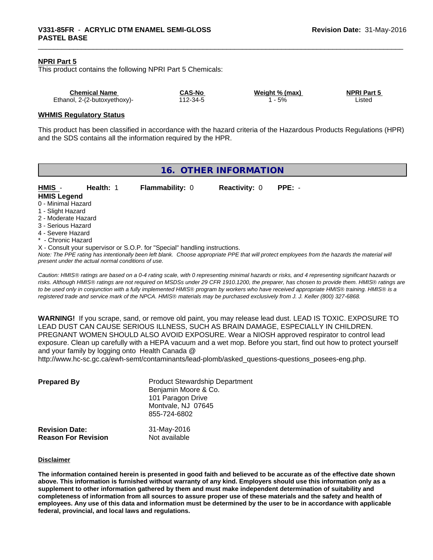#### **NPRI Part 5**

This product contains the following NPRI Part 5 Chemicals:

| <b>Chemical Name</b>         | <b>CAS-No</b> | Weight % (max) | <b>NPRI Part 5</b> |
|------------------------------|---------------|----------------|--------------------|
| Ethanol, 2-(2-butoxyethoxy)- | $12 - 34 - 5$ | 5%             | _isted             |

#### **WHMIS Regulatory Status**

This product has been classified in accordance with the hazard criteria of the Hazardous Products Regulations (HPR) and the SDS contains all the information required by the HPR.

| 16. OTHER INFORMATION                    |                                                    |                                                                            |                      |                                                                                                                                               |
|------------------------------------------|----------------------------------------------------|----------------------------------------------------------------------------|----------------------|-----------------------------------------------------------------------------------------------------------------------------------------------|
| HMIS -<br><b>HMIS Legend</b>             | Health: 1                                          | <b>Flammability: 0</b>                                                     | <b>Reactivity: 0</b> | $PPE: -$                                                                                                                                      |
| 0 - Minimal Hazard                       |                                                    |                                                                            |                      |                                                                                                                                               |
| 1 - Slight Hazard<br>2 - Moderate Hazard |                                                    |                                                                            |                      |                                                                                                                                               |
| 3 - Serious Hazard                       |                                                    |                                                                            |                      |                                                                                                                                               |
| 4 - Severe Hazard<br>* - Chronic Hazard  |                                                    |                                                                            |                      |                                                                                                                                               |
|                                          | present under the actual normal conditions of use. | X - Consult your supervisor or S.O.P. for "Special" handling instructions. |                      | Note: The PPE rating has intentionally been left blank. Choose appropriate PPE that will protect employees from the hazards the material will |
|                                          |                                                    |                                                                            |                      | Arritra IBBIA artero da bordo e Adolfrecedo alto Arrangerita alta alternato del control de carrerato del Termino de                           |

*Caution: HMISÒ ratings are based on a 0-4 rating scale, with 0 representing minimal hazards or risks, and 4 representing significant hazards or risks. Although HMISÒ ratings are not required on MSDSs under 29 CFR 1910.1200, the preparer, has chosen to provide them. HMISÒ ratings are to be used only in conjunction with a fully implemented HMISÒ program by workers who have received appropriate HMISÒ training. HMISÒ is a registered trade and service mark of the NPCA. HMISÒ materials may be purchased exclusively from J. J. Keller (800) 327-6868.*

**WARNING!** If you scrape, sand, or remove old paint, you may release lead dust. LEAD IS TOXIC. EXPOSURE TO LEAD DUST CAN CAUSE SERIOUS ILLNESS, SUCH AS BRAIN DAMAGE, ESPECIALLY IN CHILDREN. PREGNANT WOMEN SHOULD ALSO AVOID EXPOSURE. Wear a NIOSH approved respirator to control lead exposure. Clean up carefully with a HEPA vacuum and a wet mop. Before you start, find out how to protect yourself and your family by logging onto Health Canada @

http://www.hc-sc.gc.ca/ewh-semt/contaminants/lead-plomb/asked\_questions-questions\_posees-eng.php.

| <b>Prepared By</b>                                  | <b>Product Stewardship Department</b><br>Benjamin Moore & Co.<br>101 Paragon Drive<br>Montvale, NJ 07645<br>855-724-6802 |  |
|-----------------------------------------------------|--------------------------------------------------------------------------------------------------------------------------|--|
| <b>Revision Date:</b><br><b>Reason For Revision</b> | 31-May-2016<br>Not available                                                                                             |  |

#### **Disclaimer**

The information contained herein is presented in good faith and believed to be accurate as of the effective date shown above. This information is furnished without warranty of any kind. Employers should use this information only as a **supplement to other information gathered by them and must make independent determination of suitability and** completeness of information from all sources to assure proper use of these materials and the safety and health of employees. Any use of this data and information must be determined by the user to be in accordance with applicable **federal, provincial, and local laws and regulations.**